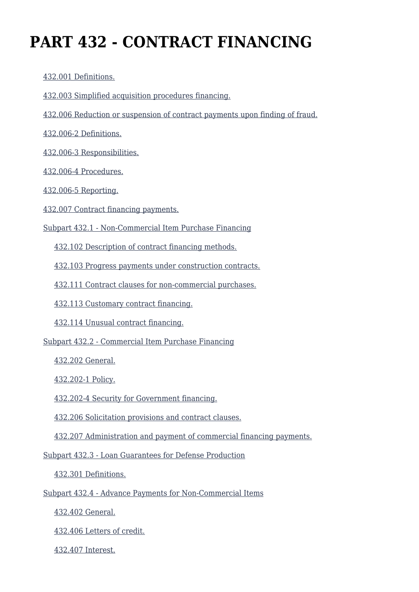# **PART 432 - CONTRACT FINANCING**

[432.001 Definitions.](https://origin-www.acquisition.gov/%5Brp:link:agar-part-432%5D#Section_432_001_T48_4021532011)

- [432.003 Simplified acquisition procedures financing.](https://origin-www.acquisition.gov/%5Brp:link:agar-part-432%5D#Section_432_003_T48_4021532012)
- [432.006 Reduction or suspension of contract payments upon finding of fraud.](https://origin-www.acquisition.gov/%5Brp:link:agar-part-432%5D#Section_432_006_T48_4021532013)

[432.006-2 Definitions.](https://origin-www.acquisition.gov/%5Brp:link:agar-part-432%5D#Section_432_006_2_T48_4021532014)

[432.006-3 Responsibilities.](https://origin-www.acquisition.gov/%5Brp:link:agar-part-432%5D#Section_432_006_3_T48_4021532015)

[432.006-4 Procedures.](https://origin-www.acquisition.gov/%5Brp:link:agar-part-432%5D#Section_432_006_4_T48_4021532016)

[432.006-5 Reporting.](https://origin-www.acquisition.gov/%5Brp:link:agar-part-432%5D#Section_432_006_5_T48_4021532017)

[432.007 Contract financing payments.](https://origin-www.acquisition.gov/%5Brp:link:agar-part-432%5D#Section_432_007_T48_4021532018)

[Subpart 432.1 - Non-Commercial Item Purchase Financing](https://origin-www.acquisition.gov/%5Brp:link:agar-part-432%5D#Subpart_432_1_T48_40215321)

[432.102 Description of contract financing methods.](https://origin-www.acquisition.gov/%5Brp:link:agar-part-432%5D#Section_432_102_T48_4021532111)

[432.103 Progress payments under construction contracts.](https://origin-www.acquisition.gov/%5Brp:link:agar-part-432%5D#Section_432_103_T48_4021532112)

[432.111 Contract clauses for non-commercial purchases.](https://origin-www.acquisition.gov/%5Brp:link:agar-part-432%5D#Section_432_111_T48_4021532113)

[432.113 Customary contract financing.](https://origin-www.acquisition.gov/%5Brp:link:agar-part-432%5D#Section_432_113_T48_4021532114)

[432.114 Unusual contract financing.](https://origin-www.acquisition.gov/%5Brp:link:agar-part-432%5D#Section_432_114_T48_4021532115)

[Subpart 432.2 - Commercial Item Purchase Financing](https://origin-www.acquisition.gov/%5Brp:link:agar-part-432%5D#Subpart_432_2_T48_40215322)

[432.202 General.](https://origin-www.acquisition.gov/%5Brp:link:agar-part-432%5D#Section_432_202_T48_4021532211)

[432.202-1 Policy.](https://origin-www.acquisition.gov/%5Brp:link:agar-part-432%5D#Section_432_202_1_T48_4021532212)

[432.202-4 Security for Government financing.](https://origin-www.acquisition.gov/%5Brp:link:agar-part-432%5D#Section_432_202_4_T48_4021532213)

[432.206 Solicitation provisions and contract clauses.](https://origin-www.acquisition.gov/%5Brp:link:agar-part-432%5D#Section_432_206_T48_4021532214)

[432.207 Administration and payment of commercial financing payments.](https://origin-www.acquisition.gov/%5Brp:link:agar-part-432%5D#Section_432_207_T48_4021532215)

[Subpart 432.3 - Loan Guarantees for Defense Production](https://origin-www.acquisition.gov/%5Brp:link:agar-part-432%5D#Subpart_432_3_T48_40215323)

[432.301 Definitions.](https://origin-www.acquisition.gov/%5Brp:link:agar-part-432%5D#Section_432_301_T48_4021532311)

[Subpart 432.4 - Advance Payments for Non-Commercial Items](https://origin-www.acquisition.gov/%5Brp:link:agar-part-432%5D#Subpart_432_4_T48_40215324)

[432.402 General.](https://origin-www.acquisition.gov/%5Brp:link:agar-part-432%5D#Section_432_402_T48_4021532411)

[432.406 Letters of credit.](https://origin-www.acquisition.gov/%5Brp:link:agar-part-432%5D#Section_432_406_T48_4021532412)

[432.407 Interest.](https://origin-www.acquisition.gov/%5Brp:link:agar-part-432%5D#Section_432_407_T48_4021532413)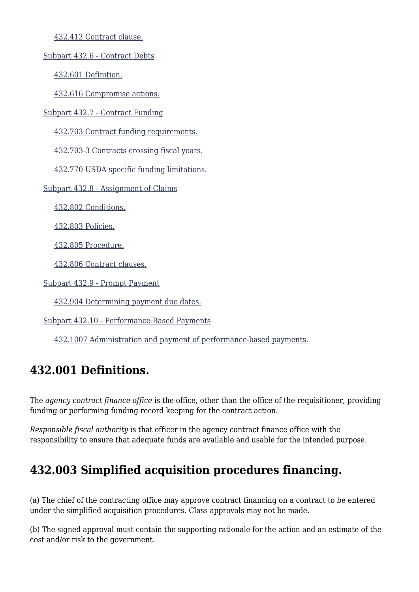[432.412 Contract clause.](https://origin-www.acquisition.gov/%5Brp:link:agar-part-432%5D#Section_432_412_T48_4021532414)

[Subpart 432.6 - Contract Debts](https://origin-www.acquisition.gov/%5Brp:link:agar-part-432%5D#Subpart_432_6_T48_40215325)

[432.601 Definition.](https://origin-www.acquisition.gov/%5Brp:link:agar-part-432%5D#Section_432_601_T48_4021532511)

[432.616 Compromise actions.](https://origin-www.acquisition.gov/%5Brp:link:agar-part-432%5D#Section_432_616_T48_4021532512)

[Subpart 432.7 - Contract Funding](https://origin-www.acquisition.gov/%5Brp:link:agar-part-432%5D#Subpart_432_7_T48_40215326)

[432.703 Contract funding requirements.](https://origin-www.acquisition.gov/%5Brp:link:agar-part-432%5D#Section_432_703_T48_4021532611)

[432.703-3 Contracts crossing fiscal years.](https://origin-www.acquisition.gov/%5Brp:link:agar-part-432%5D#Section_432_703_3_T48_4021532612)

[432.770 USDA specific funding limitations.](https://origin-www.acquisition.gov/%5Brp:link:agar-part-432%5D#Section_432_770_T48_4021532613)

[Subpart 432.8 - Assignment of Claims](https://origin-www.acquisition.gov/%5Brp:link:agar-part-432%5D#Subpart_432_8_T48_40215327)

[432.802 Conditions.](https://origin-www.acquisition.gov/%5Brp:link:agar-part-432%5D#Section_432_802_T48_4021532711)

[432.803 Policies.](https://origin-www.acquisition.gov/%5Brp:link:agar-part-432%5D#Section_432_803_T48_4021532712)

[432.805 Procedure.](https://origin-www.acquisition.gov/%5Brp:link:agar-part-432%5D#Section_432_805_T48_4021532713)

[432.806 Contract clauses.](https://origin-www.acquisition.gov/%5Brp:link:agar-part-432%5D#Section_432_806_T48_4021532714)

[Subpart 432.9 - Prompt Payment](https://origin-www.acquisition.gov/%5Brp:link:agar-part-432%5D#Subpart_432_9_T48_40215328)

[432.904 Determining payment due dates.](https://origin-www.acquisition.gov/%5Brp:link:agar-part-432%5D#Section_432_904_T48_4021532811)

[Subpart 432.10 - Performance-Based Payments](https://origin-www.acquisition.gov/%5Brp:link:agar-part-432%5D#Subpart_432_10_T48_40215329)

[432.1007 Administration and payment of performance-based payments.](https://origin-www.acquisition.gov/%5Brp:link:agar-part-432%5D#Section_432_1007_T48_4021532911)

# **432.001 Definitions.**

The *agency contract finance office* is the office, other than the office of the requisitioner, providing funding or performing funding record keeping for the contract action.

*Responsible fiscal authority* is that officer in the agency contract finance office with the responsibility to ensure that adequate funds are available and usable for the intended purpose.

# **432.003 Simplified acquisition procedures financing.**

(a) The chief of the contracting office may approve contract financing on a contract to be entered under the simplified acquisition procedures. Class approvals may not be made.

(b) The signed approval must contain the supporting rationale for the action and an estimate of the cost and/or risk to the government.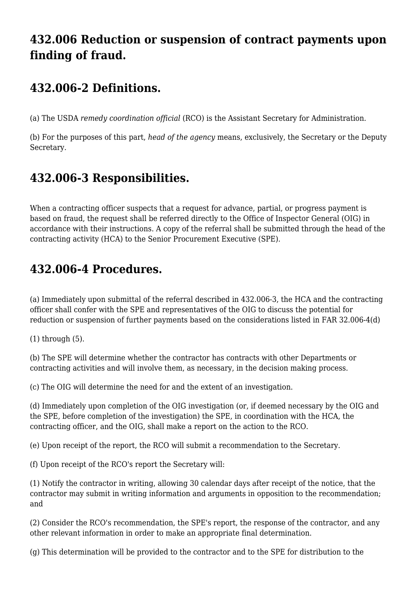### **432.006 Reduction or suspension of contract payments upon finding of fraud.**

### **432.006-2 Definitions.**

(a) The USDA *remedy coordination official* (RCO) is the Assistant Secretary for Administration.

(b) For the purposes of this part, *head of the agency* means, exclusively, the Secretary or the Deputy Secretary.

# **432.006-3 Responsibilities.**

When a contracting officer suspects that a request for advance, partial, or progress payment is based on fraud, the request shall be referred directly to the Office of Inspector General (OIG) in accordance with their instructions. A copy of the referral shall be submitted through the head of the contracting activity (HCA) to the Senior Procurement Executive (SPE).

# **432.006-4 Procedures.**

(a) Immediately upon submittal of the referral described in 432.006-3, the HCA and the contracting officer shall confer with the SPE and representatives of the OIG to discuss the potential for reduction or suspension of further payments based on the considerations listed in FAR 32.006-4(d)

(1) through (5).

(b) The SPE will determine whether the contractor has contracts with other Departments or contracting activities and will involve them, as necessary, in the decision making process.

(c) The OIG will determine the need for and the extent of an investigation.

(d) Immediately upon completion of the OIG investigation (or, if deemed necessary by the OIG and the SPE, before completion of the investigation) the SPE, in coordination with the HCA, the contracting officer, and the OIG, shall make a report on the action to the RCO.

(e) Upon receipt of the report, the RCO will submit a recommendation to the Secretary.

(f) Upon receipt of the RCO's report the Secretary will:

(1) Notify the contractor in writing, allowing 30 calendar days after receipt of the notice, that the contractor may submit in writing information and arguments in opposition to the recommendation; and

(2) Consider the RCO's recommendation, the SPE's report, the response of the contractor, and any other relevant information in order to make an appropriate final determination.

(g) This determination will be provided to the contractor and to the SPE for distribution to the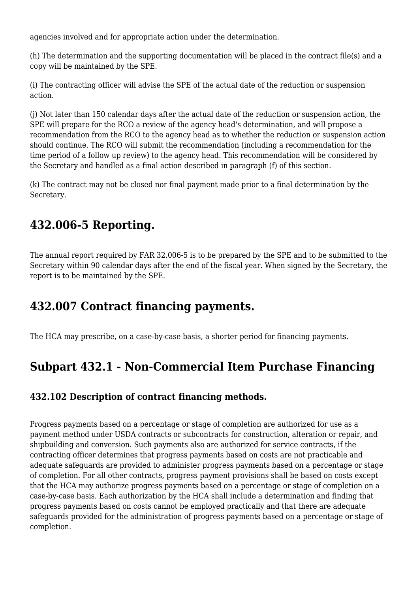agencies involved and for appropriate action under the determination.

(h) The determination and the supporting documentation will be placed in the contract file(s) and a copy will be maintained by the SPE.

(i) The contracting officer will advise the SPE of the actual date of the reduction or suspension action.

(j) Not later than 150 calendar days after the actual date of the reduction or suspension action, the SPE will prepare for the RCO a review of the agency head's determination, and will propose a recommendation from the RCO to the agency head as to whether the reduction or suspension action should continue. The RCO will submit the recommendation (including a recommendation for the time period of a follow up review) to the agency head. This recommendation will be considered by the Secretary and handled as a final action described in paragraph (f) of this section.

(k) The contract may not be closed nor final payment made prior to a final determination by the Secretary.

# **432.006-5 Reporting.**

The annual report required by FAR 32.006-5 is to be prepared by the SPE and to be submitted to the Secretary within 90 calendar days after the end of the fiscal year. When signed by the Secretary, the report is to be maintained by the SPE.

# **432.007 Contract financing payments.**

The HCA may prescribe, on a case-by-case basis, a shorter period for financing payments.

# **Subpart 432.1 - Non-Commercial Item Purchase Financing**

#### **432.102 Description of contract financing methods.**

Progress payments based on a percentage or stage of completion are authorized for use as a payment method under USDA contracts or subcontracts for construction, alteration or repair, and shipbuilding and conversion. Such payments also are authorized for service contracts, if the contracting officer determines that progress payments based on costs are not practicable and adequate safeguards are provided to administer progress payments based on a percentage or stage of completion. For all other contracts, progress payment provisions shall be based on costs except that the HCA may authorize progress payments based on a percentage or stage of completion on a case-by-case basis. Each authorization by the HCA shall include a determination and finding that progress payments based on costs cannot be employed practically and that there are adequate safeguards provided for the administration of progress payments based on a percentage or stage of completion.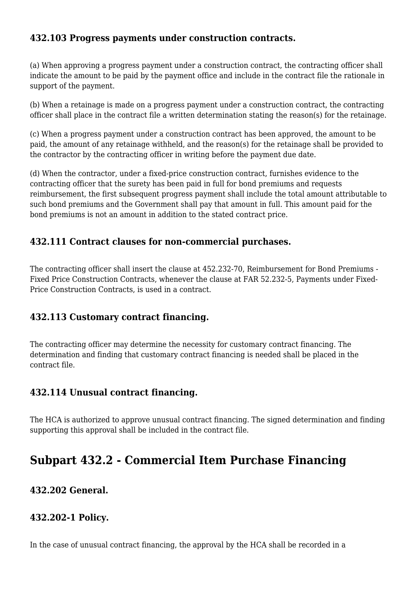#### **432.103 Progress payments under construction contracts.**

(a) When approving a progress payment under a construction contract, the contracting officer shall indicate the amount to be paid by the payment office and include in the contract file the rationale in support of the payment.

(b) When a retainage is made on a progress payment under a construction contract, the contracting officer shall place in the contract file a written determination stating the reason(s) for the retainage.

(c) When a progress payment under a construction contract has been approved, the amount to be paid, the amount of any retainage withheld, and the reason(s) for the retainage shall be provided to the contractor by the contracting officer in writing before the payment due date.

(d) When the contractor, under a fixed-price construction contract, furnishes evidence to the contracting officer that the surety has been paid in full for bond premiums and requests reimbursement, the first subsequent progress payment shall include the total amount attributable to such bond premiums and the Government shall pay that amount in full. This amount paid for the bond premiums is not an amount in addition to the stated contract price.

#### **432.111 Contract clauses for non-commercial purchases.**

The contracting officer shall insert the clause at 452.232-70, Reimbursement for Bond Premiums - Fixed Price Construction Contracts, whenever the clause at FAR 52.232-5, Payments under Fixed-Price Construction Contracts, is used in a contract.

#### **432.113 Customary contract financing.**

The contracting officer may determine the necessity for customary contract financing. The determination and finding that customary contract financing is needed shall be placed in the contract file.

#### **432.114 Unusual contract financing.**

The HCA is authorized to approve unusual contract financing. The signed determination and finding supporting this approval shall be included in the contract file.

# **Subpart 432.2 - Commercial Item Purchase Financing**

#### **432.202 General.**

#### **432.202-1 Policy.**

In the case of unusual contract financing, the approval by the HCA shall be recorded in a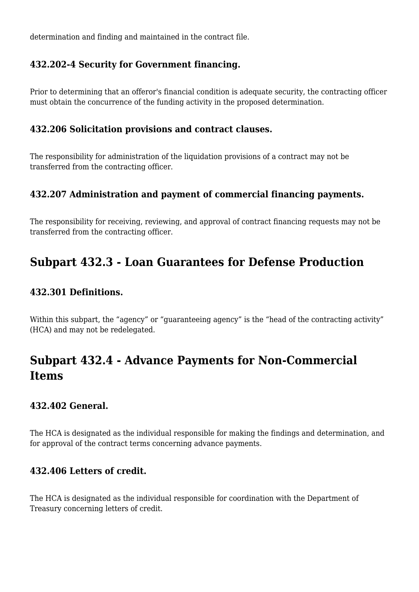determination and finding and maintained in the contract file.

#### **432.202-4 Security for Government financing.**

Prior to determining that an offeror's financial condition is adequate security, the contracting officer must obtain the concurrence of the funding activity in the proposed determination.

#### **432.206 Solicitation provisions and contract clauses.**

The responsibility for administration of the liquidation provisions of a contract may not be transferred from the contracting officer.

#### **432.207 Administration and payment of commercial financing payments.**

The responsibility for receiving, reviewing, and approval of contract financing requests may not be transferred from the contracting officer.

### **Subpart 432.3 - Loan Guarantees for Defense Production**

#### **432.301 Definitions.**

Within this subpart, the "agency" or "guaranteeing agency" is the "head of the contracting activity" (HCA) and may not be redelegated.

# **Subpart 432.4 - Advance Payments for Non-Commercial Items**

#### **432.402 General.**

The HCA is designated as the individual responsible for making the findings and determination, and for approval of the contract terms concerning advance payments.

#### **432.406 Letters of credit.**

The HCA is designated as the individual responsible for coordination with the Department of Treasury concerning letters of credit.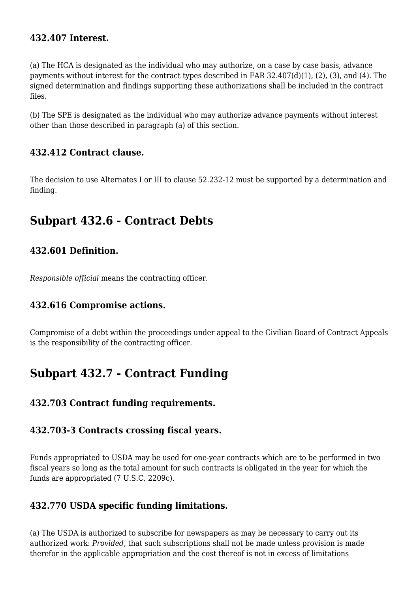#### **432.407 Interest.**

(a) The HCA is designated as the individual who may authorize, on a case by case basis, advance payments without interest for the contract types described in FAR 32.407(d)(1), (2), (3), and (4). The signed determination and findings supporting these authorizations shall be included in the contract files.

(b) The SPE is designated as the individual who may authorize advance payments without interest other than those described in paragraph (a) of this section.

#### **432.412 Contract clause.**

The decision to use Alternates I or III to clause 52.232-12 must be supported by a determination and finding.

### **Subpart 432.6 - Contract Debts**

#### **432.601 Definition.**

*Responsible official* means the contracting officer.

#### **432.616 Compromise actions.**

Compromise of a debt within the proceedings under appeal to the Civilian Board of Contract Appeals is the responsibility of the contracting officer.

### **Subpart 432.7 - Contract Funding**

#### **432.703 Contract funding requirements.**

#### **432.703-3 Contracts crossing fiscal years.**

Funds appropriated to USDA may be used for one-year contracts which are to be performed in two fiscal years so long as the total amount for such contracts is obligated in the year for which the funds are appropriated (7 U.S.C. 2209c).

#### **432.770 USDA specific funding limitations.**

(a) The USDA is authorized to subscribe for newspapers as may be necessary to carry out its authorized work: *Provided,* that such subscriptions shall not be made unless provision is made therefor in the applicable appropriation and the cost thereof is not in excess of limitations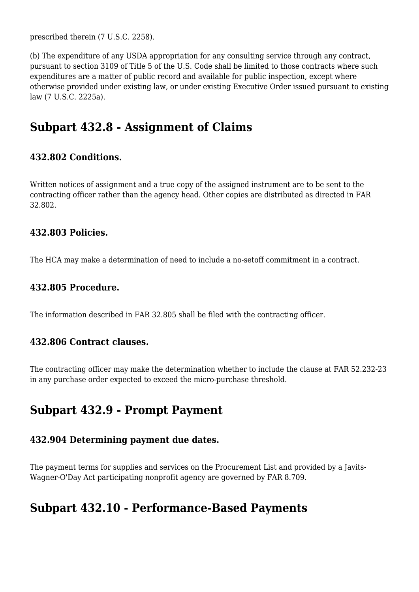prescribed therein (7 U.S.C. 2258).

(b) The expenditure of any USDA appropriation for any consulting service through any contract, pursuant to section 3109 of Title 5 of the U.S. Code shall be limited to those contracts where such expenditures are a matter of public record and available for public inspection, except where otherwise provided under existing law, or under existing Executive Order issued pursuant to existing law (7 U.S.C. 2225a).

### **Subpart 432.8 - Assignment of Claims**

#### **432.802 Conditions.**

Written notices of assignment and a true copy of the assigned instrument are to be sent to the contracting officer rather than the agency head. Other copies are distributed as directed in FAR 32.802.

#### **432.803 Policies.**

The HCA may make a determination of need to include a no-setoff commitment in a contract.

#### **432.805 Procedure.**

The information described in FAR 32.805 shall be filed with the contracting officer.

#### **432.806 Contract clauses.**

The contracting officer may make the determination whether to include the clause at FAR 52.232-23 in any purchase order expected to exceed the micro-purchase threshold.

### **Subpart 432.9 - Prompt Payment**

#### **432.904 Determining payment due dates.**

The payment terms for supplies and services on the Procurement List and provided by a Javits-Wagner-O'Day Act participating nonprofit agency are governed by FAR 8.709.

### **Subpart 432.10 - Performance-Based Payments**